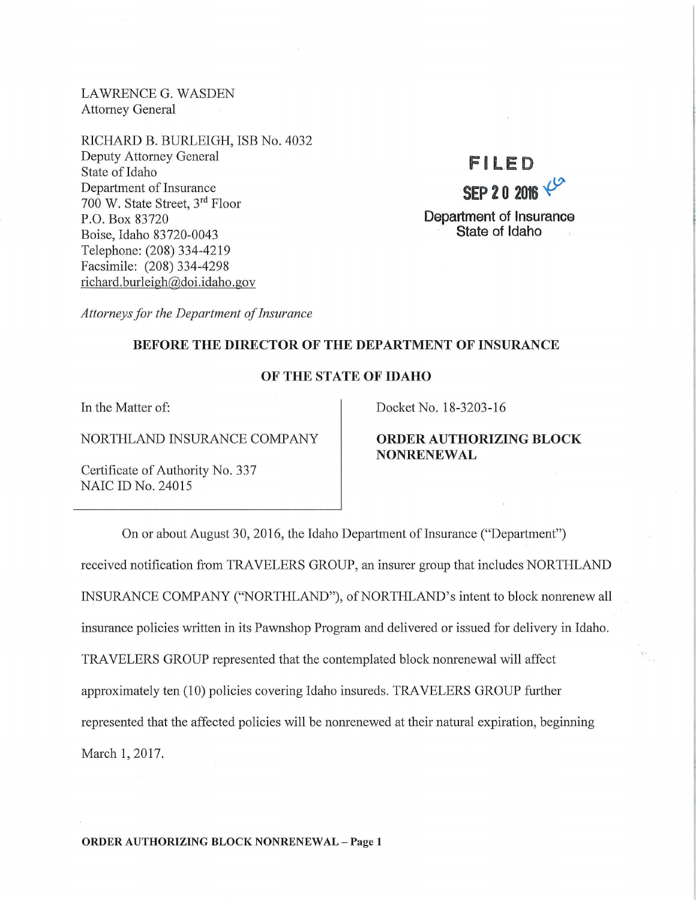LAWRENCE G. WASDEN Attorney General

RICHARD B. BURLEIGH, ISB No. 4032 Deputy Attorney General State of Idaho Department of Insurance 700 W. State Street, 3rd Floor P.O. Box 83720 Boise, Idaho 83720-0043 Telephone: (208) 334-4219 Facsimile: (208) 334-4298 richard. burleigh@doi.idaho.gov

# **Fl LED SEP20 2016** ~ Department of Insurance State of Idaho

*Attorneys for the Department of Insurance* 

## BEFORE THE DIRECTOR OF THE DEPARTMENT OF INSURANCE

#### OF THE STATE OF IDAHO

In the Matter of:

NORTHLAND INSURANCE COMPANY

Certificate of Authority No. 337 NAIC ID No. 24015

Docket No. 18-3203-16

## ORDER AUTHORIZING BLOCK NONRENEWAL

On or about August 30, 2016, the Idaho Department of Insurance ("Department") received notification from TRAVELERS GROUP, an insurer group that includes NORTHLAND INSURANCE COMPANY ("NORTHLAND"), of NORTHLAND's intent to block nonrenew all insurance policies written in its Pawnshop Program and delivered or issued for delivery in Idaho. TRAVELERS GROUP represented that the contemplated block nonrenewal will affect approximately ten (10) policies covering Idaho insureds. TRAVELERS GROUP further represented that the affected policies will be nonrenewed at their natural expiration, beginning March 1, 2017.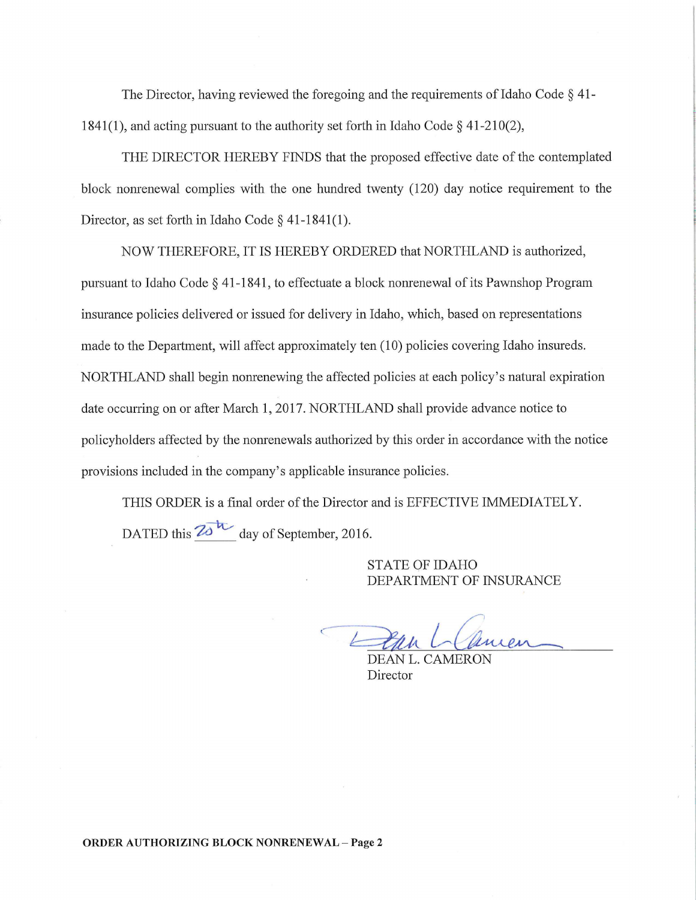The Director, having reviewed the foregoing and the requirements of Idaho Code § 41- 1841(1), and acting pursuant to the authority set forth in Idaho Code  $\S$  41-210(2),

THE DIRECTOR HEREBY FINDS that the proposed effective date of the contemplated block nomenewal complies with the one hundred twenty (120) day notice requirement to the Director, as set forth in Idaho Code § 41-1841(1).

NOW THEREFORE, IT IS HEREBY ORDERED that NORTHLAND is authorized, pursuant to Idaho Code § 41-1841, to effectuate a block nomenewal of its Pawnshop Program insurance policies delivered or issued for delivery in Idaho, which, based on representations made to the Department, will affect approximately ten (10) policies covering Idaho insureds. NORTHLAND shall begin nomenewing the affected policies at each policy's natural expiration date occurring on or after March 1, 2017. NORTHLAND shall provide advance notice to policyholders affected by the nomenewals authorized by this order in accordance with the notice provisions included in the company's applicable insurance policies.

THIS ORDER is a final order of the Director and is EFFECTIVE IMMEDIATELY. DATED this  $\overline{20}^{11}$  day of September, 2016.

> STATE OF IDAHO DEPARTMENT OF INSURANCE

uien

DEAN L. CAMERO Director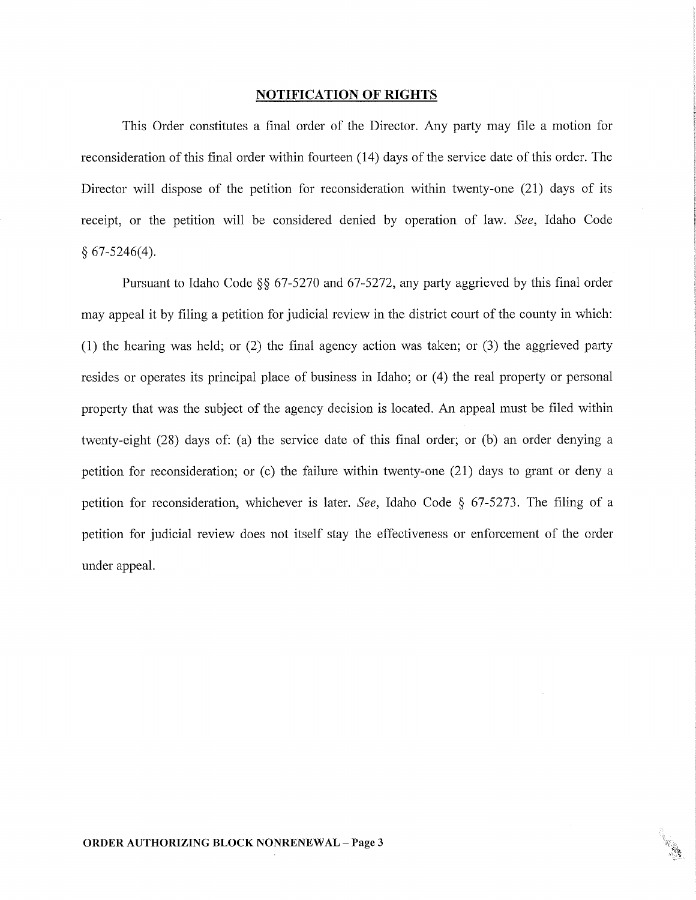#### NOTIFICATION **OF RIGHTS**

This Order constitutes a final order of the Director. Any party may file a motion for reconsideration of this final order within fourteen (14) days of the service date of this order. The Director will dispose of the petition for reconsideration within twenty-one (21) days of its receipt, or the petition will be considered denied by operation of law. *See,* Idaho Code  $§ 67-5246(4).$ 

Pursuant to Idaho Code §§ 67-5270 and 67-5272, any party aggrieved by this final order may appeal it by filing a petition for judicial review in the district court of the county in which: (1) the hearing was held; or  $(2)$  the final agency action was taken; or  $(3)$  the aggrieved party resides or operates its principal place of business in Idaho; or (4) the real property or personal property that was the subject of the agency decision is located. An appeal must be filed within twenty-eight (28) days of: (a) the service date of this final order; or (b) an order denying a petition for reconsideration; or (c) the failure within twenty-one (21) days to grant or deny a petition for reconsideration, whichever is later. *See,* Idaho Code § 67-5273. The filing of a petition for judicial review does not itself stay the effectiveness or enforcement of the order under appeal.